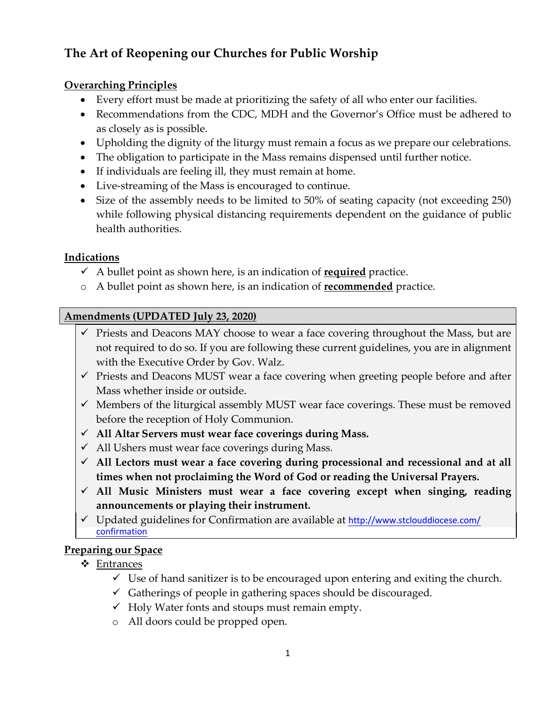# **The Art of Reopening our Churches for Public Worship**

# **Overarching Principles**

- Every effort must be made at prioritizing the safety of all who enter our facilities.
- Recommendations from the CDC, MDH and the Governor's Office must be adhered to as closely as is possible.
- Upholding the dignity of the liturgy must remain a focus as we prepare our celebrations.
- The obligation to participate in the Mass remains dispensed until further notice.
- If individuals are feeling ill, they must remain at home.
- Live-streaming of the Mass is encouraged to continue.
- Size of the assembly needs to be limited to 50% of seating capacity (not exceeding 250) while following physical distancing requirements dependent on the guidance of public health authorities.

# **Indications**

- $\checkmark$  A bullet point as shown here, is an indication of **<u>required</u>** practice.
- o A bullet point as shown here, is an indication of **recommended** practice.

### **Amendments (UPDATED July 23, 2020)**

- $\checkmark$  Priests and Deacons MAY choose to wear a face covering throughout the Mass, but are not required to do so. If you are following these current guidelines, you are in alignment with the Executive Order by Gov. Walz.
- $\checkmark$  Priests and Deacons MUST wear a face covering when greeting people before and after Mass whether inside or outside.
- $\checkmark$  Members of the liturgical assembly MUST wear face coverings. These must be removed before the reception of Holy Communion.
- ü **All Altar Servers must wear face coverings during Mass.**
- $\checkmark$  All Ushers must wear face coverings during Mass.
- ü **All Lectors must wear a face covering during processional and recessional and at all times when not proclaiming the Word of God or reading the Universal Prayers.**
- ü **All Music Ministers must wear a face covering except when singing, reading announcements or playing their instrument.**
- √ [Updated guidelines for Confirmation are available at](http://www.stclouddiocese.com/confirmation) http://www.stclouddiocese.com/ confirmation

## **Preparing our Space**

- v Entrances
	- $\checkmark$  Use of hand sanitizer is to be encouraged upon entering and exiting the church.
	- $\checkmark$  Gatherings of people in gathering spaces should be discouraged.
	- $\checkmark$  Holy Water fonts and stoups must remain empty.
	- o All doors could be propped open.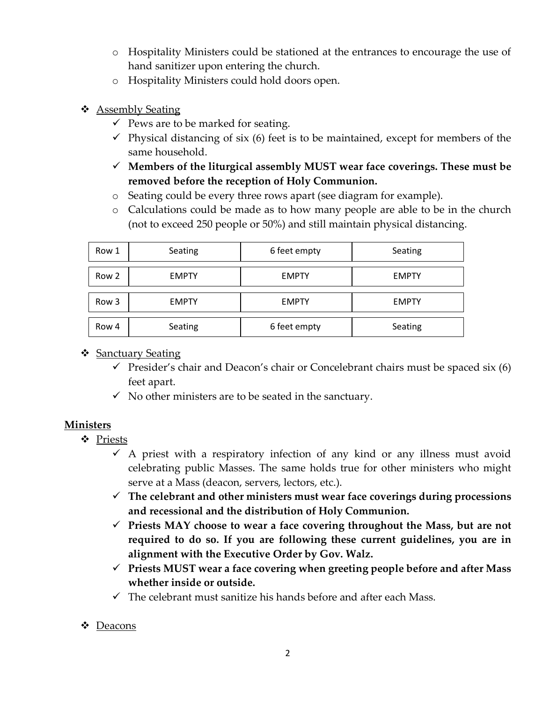- o Hospitality Ministers could be stationed at the entrances to encourage the use of hand sanitizer upon entering the church.
- o Hospitality Ministers could hold doors open.
- ❖ Assembly Seating
	- $\checkmark$  Pews are to be marked for seating.
	- $\checkmark$  Physical distancing of six (6) feet is to be maintained, except for members of the same household.
	- $\checkmark$  Members of the liturgical assembly MUST wear face coverings. These must be **removed before the reception of Holy Communion.**
	- o Seating could be every three rows apart (see diagram for example).
	- o Calculations could be made as to how many people are able to be in the church (not to exceed 250 people or 50%) and still maintain physical distancing.

| Row 1 | Seating      | 6 feet empty | Seating      |
|-------|--------------|--------------|--------------|
| Row 2 | <b>EMPTY</b> | <b>EMPTY</b> | <b>EMPTY</b> |
| Row 3 | <b>EMPTY</b> | <b>EMPTY</b> | <b>EMPTY</b> |
| Row 4 | Seating      | 6 feet empty | Seating      |

### $\div$  Sanctuary Seating

- $\checkmark$  Presider's chair and Deacon's chair or Concelebrant chairs must be spaced six (6) feet apart.
- $\checkmark$  No other ministers are to be seated in the sanctuary.

### **Ministers**

- v Priests
	- $\checkmark$  A priest with a respiratory infection of any kind or any illness must avoid celebrating public Masses. The same holds true for other ministers who might serve at a Mass (deacon, servers, lectors, etc.).
	- $\checkmark$  The celebrant and other ministers must wear face coverings during processions **and recessional and the distribution of Holy Communion.**
	- ü **Priests MAY choose to wear a face covering throughout the Mass, but are not required to do so. If you are following these current guidelines, you are in alignment with the Executive Order by Gov. Walz.**
	- ü **Priests MUST wear a face covering when greeting people before and after Mass whether inside or outside.**
	- $\checkmark$  The celebrant must sanitize his hands before and after each Mass.

#### $\div$  Deacons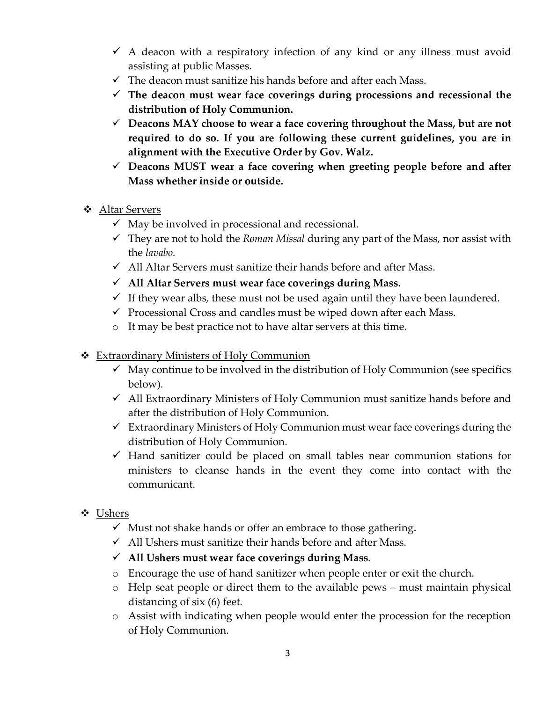- $\checkmark$  A deacon with a respiratory infection of any kind or any illness must avoid assisting at public Masses.
- $\checkmark$  The deacon must sanitize his hands before and after each Mass.
- $\checkmark$  The deacon must wear face coverings during processions and recessional the **distribution of Holy Communion.**
- $\checkmark$  Deacons MAY choose to wear a face covering throughout the Mass, but are not **required to do so. If you are following these current guidelines, you are in alignment with the Executive Order by Gov. Walz.**
- ü **Deacons MUST wear a face covering when greeting people before and after Mass whether inside or outside.**
- v Altar Servers
	- $\checkmark$  May be involved in processional and recessional.
	- $\checkmark$  They are not to hold the *Roman Missal* during any part of the Mass, nor assist with the *lavabo.*
	- $\checkmark$  All Altar Servers must sanitize their hands before and after Mass.
	- ü **All Altar Servers must wear face coverings during Mass.**
	- $\checkmark$  If they wear albs, these must not be used again until they have been laundered.
	- $\checkmark$  Processional Cross and candles must be wiped down after each Mass.
	- o It may be best practice not to have altar servers at this time.
- **❖** Extraordinary Ministers of Holy Communion
	- $\checkmark$  May continue to be involved in the distribution of Holy Communion (see specifics below).
	- $\checkmark$  All Extraordinary Ministers of Holy Communion must sanitize hands before and after the distribution of Holy Communion.
	- $\checkmark$  Extraordinary Ministers of Holy Communion must wear face coverings during the distribution of Holy Communion.
	- $\checkmark$  Hand sanitizer could be placed on small tables near communion stations for ministers to cleanse hands in the event they come into contact with the communicant.
- v Ushers
	- $\checkmark$  Must not shake hands or offer an embrace to those gathering.
	- $\checkmark$  All Ushers must sanitize their hands before and after Mass.
	- ü **All Ushers must wear face coverings during Mass.**
	- o Encourage the use of hand sanitizer when people enter or exit the church.
	- o Help seat people or direct them to the available pews must maintain physical distancing of six (6) feet.
	- o Assist with indicating when people would enter the procession for the reception of Holy Communion.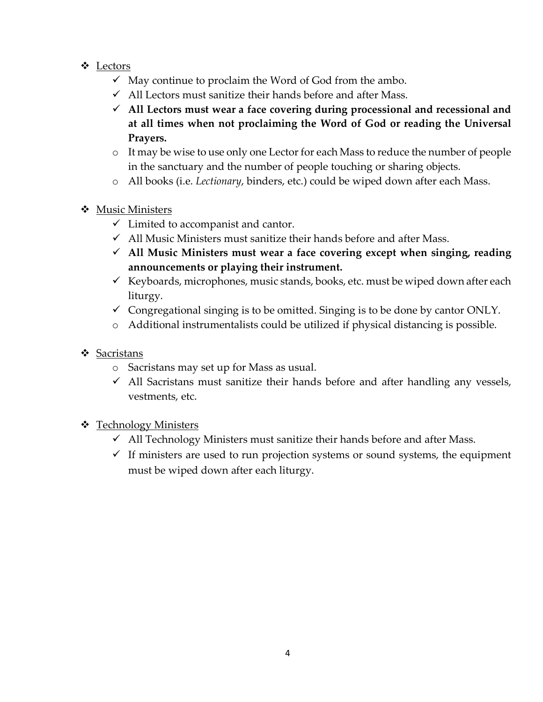- v Lectors
	- $\checkmark$  May continue to proclaim the Word of God from the ambo.
	- $\checkmark$  All Lectors must sanitize their hands before and after Mass.
	- ü **All Lectors must wear a face covering during processional and recessional and at all times when not proclaiming the Word of God or reading the Universal Prayers.**
	- o It may be wise to use only one Lector for each Mass to reduce the number of people in the sanctuary and the number of people touching or sharing objects.
	- o All books (i.e. *Lectionary*, binders, etc.) could be wiped down after each Mass.
- ❖ Music Ministers
	- $\checkmark$  Limited to accompanist and cantor.
	- $\checkmark$  All Music Ministers must sanitize their hands before and after Mass.
	- ü **All Music Ministers must wear a face covering except when singing, reading announcements or playing their instrument.**
	- Keyboards, microphones, music stands, books, etc. must be wiped down after each liturgy.
	- $\checkmark$  Congregational singing is to be omitted. Singing is to be done by cantor ONLY.
	- o Additional instrumentalists could be utilized if physical distancing is possible.
- $\div$  Sacristans
	- o Sacristans may set up for Mass as usual.
	- $\checkmark$  All Sacristans must sanitize their hands before and after handling any vessels, vestments, etc.
- **❖** Technology Ministers
	- $\checkmark$  All Technology Ministers must sanitize their hands before and after Mass.
	- $\checkmark$  If ministers are used to run projection systems or sound systems, the equipment must be wiped down after each liturgy.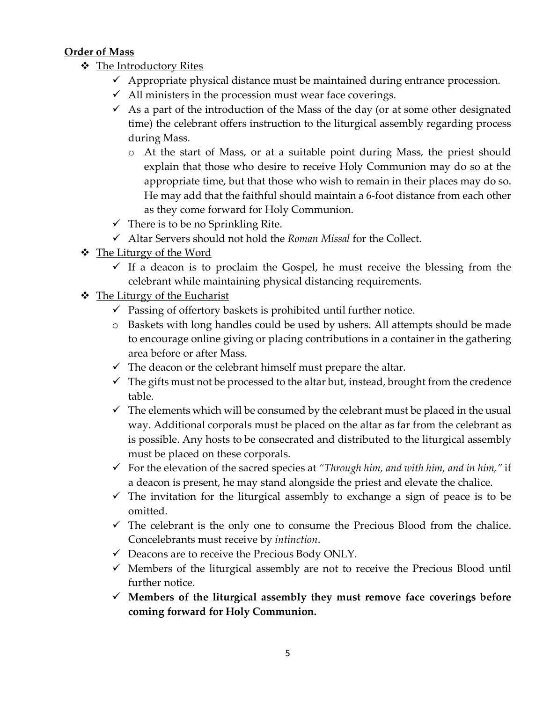### **Order of Mass**

- $\cdot$  The Introductory Rites
	- $\checkmark$  Appropriate physical distance must be maintained during entrance procession.
	- $\checkmark$  All ministers in the procession must wear face coverings.
	- $\checkmark$  As a part of the introduction of the Mass of the day (or at some other designated time) the celebrant offers instruction to the liturgical assembly regarding process during Mass.
		- o At the start of Mass, or at a suitable point during Mass, the priest should explain that those who desire to receive Holy Communion may do so at the appropriate time, but that those who wish to remain in their places may do so. He may add that the faithful should maintain a 6-foot distance from each other as they come forward for Holy Communion.
	- $\checkmark$  There is to be no Sprinkling Rite.
	- ü Altar Servers should not hold the *Roman Missal* for the Collect.
- $\div$  The Liturgy of the Word
	- $\checkmark$  If a deacon is to proclaim the Gospel, he must receive the blessing from the celebrant while maintaining physical distancing requirements.
- $\triangleleft$  The Liturgy of the Eucharist
	- $\checkmark$  Passing of offertory baskets is prohibited until further notice.
	- o Baskets with long handles could be used by ushers. All attempts should be made to encourage online giving or placing contributions in a container in the gathering area before or after Mass.
	- $\checkmark$  The deacon or the celebrant himself must prepare the altar.
	- $\checkmark$  The gifts must not be processed to the altar but, instead, brought from the credence table.
	- $\checkmark$  The elements which will be consumed by the celebrant must be placed in the usual way. Additional corporals must be placed on the altar as far from the celebrant as is possible. Any hosts to be consecrated and distributed to the liturgical assembly must be placed on these corporals.
	- $\checkmark$  For the elevation of the sacred species at *"Through him, and with him, and in him,"* if a deacon is present, he may stand alongside the priest and elevate the chalice.
	- $\checkmark$  The invitation for the liturgical assembly to exchange a sign of peace is to be omitted.
	- $\checkmark$  The celebrant is the only one to consume the Precious Blood from the chalice. Concelebrants must receive by *intinction*.
	- $\checkmark$  Deacons are to receive the Precious Body ONLY.
	- $\checkmark$  Members of the liturgical assembly are not to receive the Precious Blood until further notice.
	- ü **Members of the liturgical assembly they must remove face coverings before coming forward for Holy Communion.**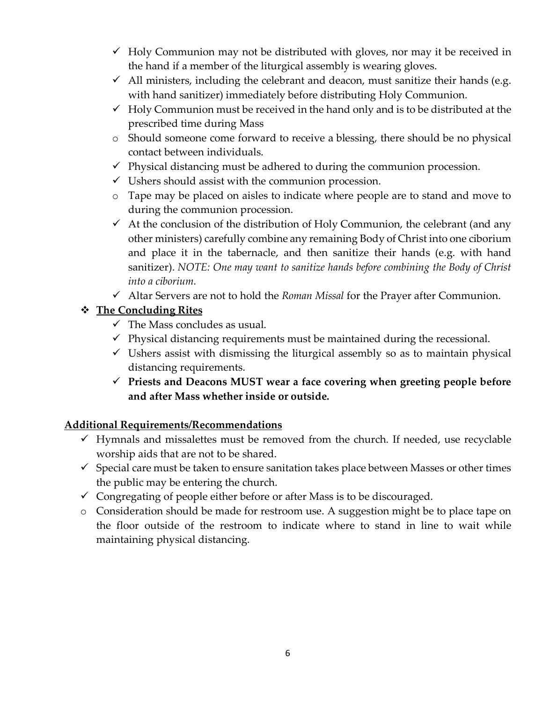- $\checkmark$  Holy Communion may not be distributed with gloves, nor may it be received in the hand if a member of the liturgical assembly is wearing gloves.
- $\checkmark$  All ministers, including the celebrant and deacon, must sanitize their hands (e.g. with hand sanitizer) immediately before distributing Holy Communion.
- $\checkmark$  Holy Communion must be received in the hand only and is to be distributed at the prescribed time during Mass
- o Should someone come forward to receive a blessing, there should be no physical contact between individuals.
- $\checkmark$  Physical distancing must be adhered to during the communion procession.
- $\checkmark$  Ushers should assist with the communion procession.
- o Tape may be placed on aisles to indicate where people are to stand and move to during the communion procession.
- $\checkmark$  At the conclusion of the distribution of Holy Communion, the celebrant (and any other ministers) carefully combine any remaining Body of Christ into one ciborium and place it in the tabernacle, and then sanitize their hands (e.g. with hand sanitizer). *NOTE: One may want to sanitize hands before combining the Body of Christ into a ciborium.*
- ü Altar Servers are not to hold the *Roman Missal* for the Prayer after Communion.

# v **The Concluding Rites**

- $\checkmark$  The Mass concludes as usual.
- $\checkmark$  Physical distancing requirements must be maintained during the recessional.
- $\checkmark$  Ushers assist with dismissing the liturgical assembly so as to maintain physical distancing requirements.
- ü **Priests and Deacons MUST wear a face covering when greeting people before and after Mass whether inside or outside.**

## **Additional Requirements/Recommendations**

- $\checkmark$  Hymnals and missalettes must be removed from the church. If needed, use recyclable worship aids that are not to be shared.
- $\checkmark$  Special care must be taken to ensure sanitation takes place between Masses or other times the public may be entering the church.
- $\checkmark$  Congregating of people either before or after Mass is to be discouraged.
- o Consideration should be made for restroom use. A suggestion might be to place tape on the floor outside of the restroom to indicate where to stand in line to wait while maintaining physical distancing.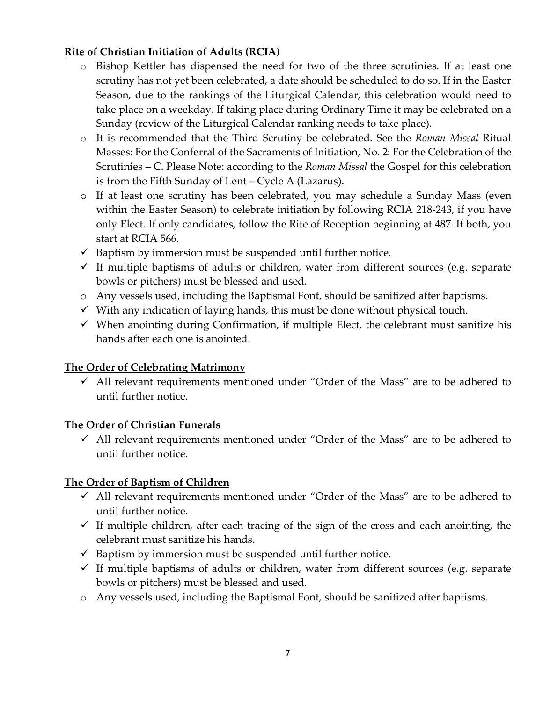### **Rite of Christian Initiation of Adults (RCIA)**

- o Bishop Kettler has dispensed the need for two of the three scrutinies. If at least one scrutiny has not yet been celebrated, a date should be scheduled to do so. If in the Easter Season, due to the rankings of the Liturgical Calendar, this celebration would need to take place on a weekday. If taking place during Ordinary Time it may be celebrated on a Sunday (review of the Liturgical Calendar ranking needs to take place).
- o It is recommended that the Third Scrutiny be celebrated. See the *Roman Missal* Ritual Masses: For the Conferral of the Sacraments of Initiation, No. 2: For the Celebration of the Scrutinies – C. Please Note: according to the *Roman Missal* the Gospel for this celebration is from the Fifth Sunday of Lent – Cycle A (Lazarus).
- o If at least one scrutiny has been celebrated, you may schedule a Sunday Mass (even within the Easter Season) to celebrate initiation by following RCIA 218-243, if you have only Elect. If only candidates, follow the Rite of Reception beginning at 487. If both, you start at RCIA 566.
- $\checkmark$  Baptism by immersion must be suspended until further notice.
- $\checkmark$  If multiple baptisms of adults or children, water from different sources (e.g. separate bowls or pitchers) must be blessed and used.
- o Any vessels used, including the Baptismal Font, should be sanitized after baptisms.
- $\checkmark$  With any indication of laying hands, this must be done without physical touch.
- $\checkmark$  When anointing during Confirmation, if multiple Elect, the celebrant must sanitize his hands after each one is anointed.

## **The Order of Celebrating Matrimony**

 $\checkmark$  All relevant requirements mentioned under "Order of the Mass" are to be adhered to until further notice.

### **The Order of Christian Funerals**

 $\checkmark$  All relevant requirements mentioned under "Order of the Mass" are to be adhered to until further notice.

### **The Order of Baptism of Children**

- $\checkmark$  All relevant requirements mentioned under "Order of the Mass" are to be adhered to until further notice.
- $\checkmark$  If multiple children, after each tracing of the sign of the cross and each anointing, the celebrant must sanitize his hands.
- $\checkmark$  Baptism by immersion must be suspended until further notice.
- $\checkmark$  If multiple baptisms of adults or children, water from different sources (e.g. separate bowls or pitchers) must be blessed and used.
- o Any vessels used, including the Baptismal Font, should be sanitized after baptisms.